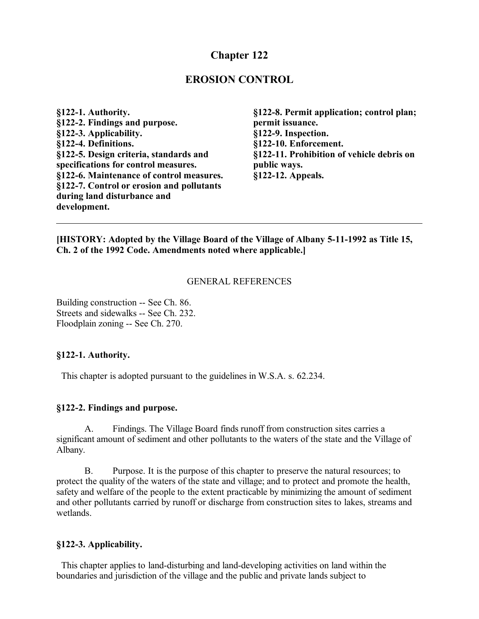# **Chapter 122**

## **EROSION CONTROL**

**§122-1. Authority. §122-2. Findings and purpose. §122-3. Applicability. §122-4. Definitions. §122-5. Design criteria, standards and specifications for control measures. §122-6. Maintenance of control measures. §122-7. Control or erosion and pollutants during land disturbance and development.**

**§122-8. Permit application; control plan; permit issuance. §122-9. Inspection. §122-10. Enforcement. §122-11. Prohibition of vehicle debris on public ways. §122-12. Appeals.**

### **[HISTORY: Adopted by the Village Board of the Village of Albany 5-11-1992 as Title 15, Ch. 2 of the 1992 Code. Amendments noted where applicable.]**

### GENERAL REFERENCES

Building construction -- See Ch. 86. Streets and sidewalks -- See Ch. 232. Floodplain zoning -- See Ch. 270.

### **§122-1. Authority.**

This chapter is adopted pursuant to the guidelines in W.S.A. s. 62.234.

#### **§122-2. Findings and purpose.**

A. Findings. The Village Board finds runoff from construction sites carries a significant amount of sediment and other pollutants to the waters of the state and the Village of Albany.

B. Purpose. It is the purpose of this chapter to preserve the natural resources; to protect the quality of the waters of the state and village; and to protect and promote the health, safety and welfare of the people to the extent practicable by minimizing the amount of sediment and other pollutants carried by runoff or discharge from construction sites to lakes, streams and wetlands.

### **§122-3. Applicability.**

 This chapter applies to land-disturbing and land-developing activities on land within the boundaries and jurisdiction of the village and the public and private lands subject to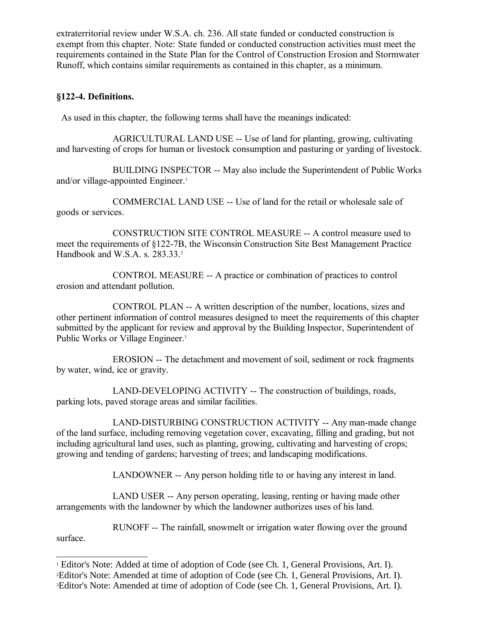extraterritorial review under W.S.A. ch. 236. All state funded or conducted construction is exempt from this chapter. Note: State funded or conducted construction activities must meet the requirements contained in the State Plan for the Control of Construction Erosion and Stormwater Runoff, which contains similar requirements as contained in this chapter, as a minimum.

### **§122-4. Definitions.**

As used in this chapter, the following terms shall have the meanings indicated:

AGRICULTURAL LAND USE -- Use of land for planting, growing, cultivating and harvesting of crops for human or livestock consumption and pasturing or yarding of livestock.

BUILDING INSPECTOR -- May also include the Superintendent of Public Works and/or village-appointed Engineer.<sup>[1](#page-1-0)</sup>

COMMERCIAL LAND USE -- Use of land for the retail or wholesale sale of goods or services.

CONSTRUCTION SITE CONTROL MEASURE -- A control measure used to meet the requirements of §122-7B, the Wisconsin Construction Site Best Management Practice Handbook and W.S.A. s. [2](#page-1-1)83.33.<sup>2</sup>

CONTROL MEASURE -- A practice or combination of practices to control erosion and attendant pollution.

CONTROL PLAN -- A written description of the number, locations, sizes and other pertinent information of control measures designed to meet the requirements of this chapter submitted by the applicant for review and approval by the Building Inspector, Superintendent of Public Works or Village Engineer.<sup>[3](#page-1-2)</sup>

EROSION -- The detachment and movement of soil, sediment or rock fragments by water, wind, ice or gravity.

LAND-DEVELOPING ACTIVITY -- The construction of buildings, roads, parking lots, paved storage areas and similar facilities.

LAND-DISTURBING CONSTRUCTION ACTIVITY -- Any man-made change of the land surface, including removing vegetation cover, excavating, filling and grading, but not including agricultural land uses, such as planting, growing, cultivating and harvesting of crops; growing and tending of gardens; harvesting of trees; and landscaping modifications.

LANDOWNER -- Any person holding title to or having any interest in land.

LAND USER -- Any person operating, leasing, renting or having made other arrangements with the landowner by which the landowner authorizes uses of his land.

RUNOFF -- The rainfall, snowmelt or irrigation water flowing over the ground surface.

<span id="page-1-2"></span><span id="page-1-1"></span><span id="page-1-0"></span><sup>&</sup>lt;sup>1</sup> Editor's Note: Added at time of adoption of Code (see Ch. 1, General Provisions, Art. I). <sup>2</sup>Editor's Note: Amended at time of adoption of Code (see Ch. 1, General Provisions, Art. I). 3Editor's Note: Amended at time of adoption of Code (see Ch. 1, General Provisions, Art. I).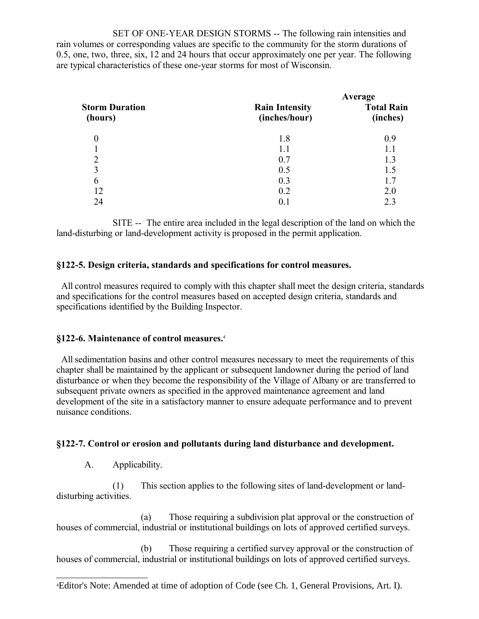SET OF ONE-YEAR DESIGN STORMS -- The following rain intensities and rain volumes or corresponding values are specific to the community for the storm durations of 0.5, one, two, three, six, 12 and 24 hours that occur approximately one per year. The following are typical characteristics of these one-year storms for most of Wisconsin.

| <b>Storm Duration</b><br>(hours) | Average                                |                               |
|----------------------------------|----------------------------------------|-------------------------------|
|                                  | <b>Rain Intensity</b><br>(inches/hour) | <b>Total Rain</b><br>(inches) |
| 0                                | 1.8                                    | 0.9                           |
|                                  | 1.1                                    | 1.1                           |
| $\overline{2}$                   | 0.7                                    | 1.3                           |
| 3                                | 0.5                                    | 1.5                           |
| 6                                | 0.3                                    | 1.7                           |
| 12                               | 0.2                                    | 2.0                           |
| 24                               | 0.1                                    | 2.3                           |

SITE -- The entire area included in the legal description of the land on which the land-disturbing or land-development activity is proposed in the permit application.

### **§122-5. Design criteria, standards and specifications for control measures.**

 All control measures required to comply with this chapter shall meet the design criteria, standards and specifications for the control measures based on accepted design criteria, standards and specifications identified by the Building Inspector.

### **§122-6. Maintenance of control measures.**[4](#page-2-0)

 All sedimentation basins and other control measures necessary to meet the requirements of this chapter shall be maintained by the applicant or subsequent landowner during the period of land disturbance or when they become the responsibility of the Village of Albany or are transferred to subsequent private owners as specified in the approved maintenance agreement and land development of the site in a satisfactory manner to ensure adequate performance and to prevent nuisance conditions.

### **§122-7. Control or erosion and pollutants during land disturbance and development.**

A. Applicability.

(1) This section applies to the following sites of land-development or landdisturbing activities.

(a) Those requiring a subdivision plat approval or the construction of houses of commercial, industrial or institutional buildings on lots of approved certified surveys.

(b) Those requiring a certified survey approval or the construction of houses of commercial, industrial or institutional buildings on lots of approved certified surveys.

<span id="page-2-0"></span><sup>4</sup>Editor's Note: Amended at time of adoption of Code (see Ch. 1, General Provisions, Art. I).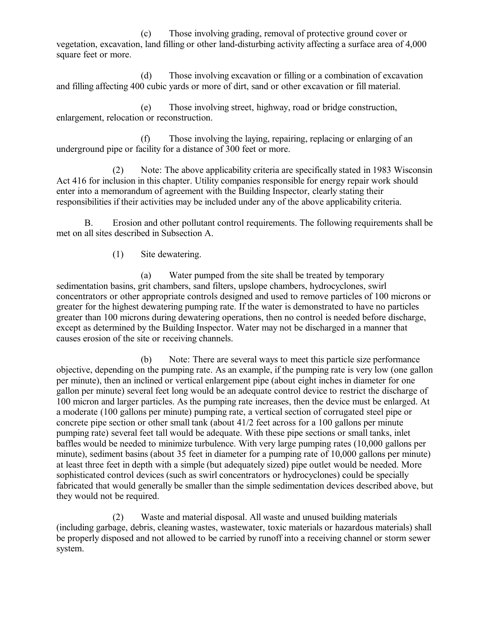(c) Those involving grading, removal of protective ground cover or vegetation, excavation, land filling or other land-disturbing activity affecting a surface area of 4,000 square feet or more.

(d) Those involving excavation or filling or a combination of excavation and filling affecting 400 cubic yards or more of dirt, sand or other excavation or fill material.

(e) Those involving street, highway, road or bridge construction, enlargement, relocation or reconstruction.

(f) Those involving the laying, repairing, replacing or enlarging of an underground pipe or facility for a distance of 300 feet or more.

(2) Note: The above applicability criteria are specifically stated in 1983 Wisconsin Act 416 for inclusion in this chapter. Utility companies responsible for energy repair work should enter into a memorandum of agreement with the Building Inspector, clearly stating their responsibilities if their activities may be included under any of the above applicability criteria.

B. Erosion and other pollutant control requirements. The following requirements shall be met on all sites described in Subsection A.

(1) Site dewatering.

(a) Water pumped from the site shall be treated by temporary sedimentation basins, grit chambers, sand filters, upslope chambers, hydrocyclones, swirl concentrators or other appropriate controls designed and used to remove particles of 100 microns or greater for the highest dewatering pumping rate. If the water is demonstrated to have no particles greater than 100 microns during dewatering operations, then no control is needed before discharge, except as determined by the Building Inspector. Water may not be discharged in a manner that causes erosion of the site or receiving channels.

(b) Note: There are several ways to meet this particle size performance objective, depending on the pumping rate. As an example, if the pumping rate is very low (one gallon per minute), then an inclined or vertical enlargement pipe (about eight inches in diameter for one gallon per minute) several feet long would be an adequate control device to restrict the discharge of 100 micron and larger particles. As the pumping rate increases, then the device must be enlarged. At a moderate (100 gallons per minute) pumping rate, a vertical section of corrugated steel pipe or concrete pipe section or other small tank (about 41/2 feet across for a 100 gallons per minute pumping rate) several feet tall would be adequate. With these pipe sections or small tanks, inlet baffles would be needed to minimize turbulence. With very large pumping rates (10,000 gallons per minute), sediment basins (about 35 feet in diameter for a pumping rate of 10,000 gallons per minute) at least three feet in depth with a simple (but adequately sized) pipe outlet would be needed. More sophisticated control devices (such as swirl concentrators or hydrocyclones) could be specially fabricated that would generally be smaller than the simple sedimentation devices described above, but they would not be required.

(2) Waste and material disposal. All waste and unused building materials (including garbage, debris, cleaning wastes, wastewater, toxic materials or hazardous materials) shall be properly disposed and not allowed to be carried by runoff into a receiving channel or storm sewer system.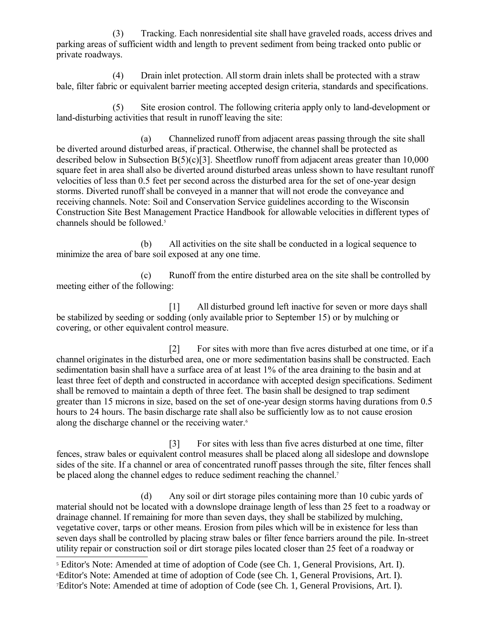(3) Tracking. Each nonresidential site shall have graveled roads, access drives and parking areas of sufficient width and length to prevent sediment from being tracked onto public or private roadways.

(4) Drain inlet protection. All storm drain inlets shall be protected with a straw bale, filter fabric or equivalent barrier meeting accepted design criteria, standards and specifications.

(5) Site erosion control. The following criteria apply only to land-development or land-disturbing activities that result in runoff leaving the site:

(a) Channelized runoff from adjacent areas passing through the site shall be diverted around disturbed areas, if practical. Otherwise, the channel shall be protected as described below in Subsection B(5)(c)[3]. Sheetflow runoff from adjacent areas greater than 10,000 square feet in area shall also be diverted around disturbed areas unless shown to have resultant runoff velocities of less than 0.5 feet per second across the disturbed area for the set of one-year design storms. Diverted runoff shall be conveyed in a manner that will not erode the conveyance and receiving channels. Note: Soil and Conservation Service guidelines according to the Wisconsin Construction Site Best Management Practice Handbook for allowable velocities in different types of channels should be followed.[5](#page-4-0)

(b) All activities on the site shall be conducted in a logical sequence to minimize the area of bare soil exposed at any one time.

(c) Runoff from the entire disturbed area on the site shall be controlled by meeting either of the following:

[1] All disturbed ground left inactive for seven or more days shall be stabilized by seeding or sodding (only available prior to September 15) or by mulching or covering, or other equivalent control measure.

[2] For sites with more than five acres disturbed at one time, or if a channel originates in the disturbed area, one or more sedimentation basins shall be constructed. Each sedimentation basin shall have a surface area of at least 1% of the area draining to the basin and at least three feet of depth and constructed in accordance with accepted design specifications. Sediment shall be removed to maintain a depth of three feet. The basin shall be designed to trap sediment greater than 15 microns in size, based on the set of one-year design storms having durations from 0.5 hours to 24 hours. The basin discharge rate shall also be sufficiently low as to not cause erosion along the discharge channel or the receiving water.<sup>[6](#page-4-1)</sup>

[3] For sites with less than five acres disturbed at one time, filter fences, straw bales or equivalent control measures shall be placed along all sideslope and downslope sides of the site. If a channel or area of concentrated runoff passes through the site, filter fences shall be placed along the channel edges to reduce sediment reaching the channel[.](#page-4-2)<sup>7</sup>

(d) Any soil or dirt storage piles containing more than 10 cubic yards of material should not be located with a downslope drainage length of less than 25 feet to a roadway or drainage channel. If remaining for more than seven days, they shall be stabilized by mulching, vegetative cover, tarps or other means. Erosion from piles which will be in existence for less than seven days shall be controlled by placing straw bales or filter fence barriers around the pile. In-street utility repair or construction soil or dirt storage piles located closer than 25 feet of a roadway or

<span id="page-4-2"></span><span id="page-4-1"></span><span id="page-4-0"></span><sup>&</sup>lt;sup>5</sup> Editor's Note: Amended at time of adoption of Code (see Ch. 1, General Provisions, Art. I). <sup>6</sup>Editor's Note: Amended at time of adoption of Code (see Ch. 1, General Provisions, Art. I). 7Editor's Note: Amended at time of adoption of Code (see Ch. 1, General Provisions, Art. I).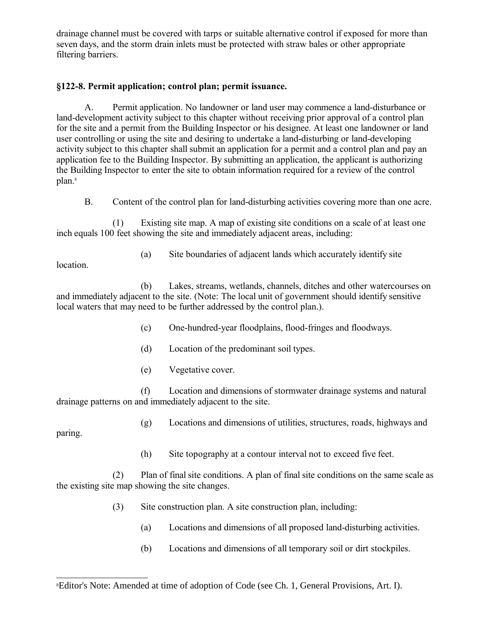drainage channel must be covered with tarps or suitable alternative control if exposed for more than seven days, and the storm drain inlets must be protected with straw bales or other appropriate filtering barriers.

## **§122-8. Permit application; control plan; permit issuance.**

A. Permit application. No landowner or land user may commence a land-disturbance or land-development activity subject to this chapter without receiving prior approval of a control plan for the site and a permit from the Building Inspector or his designee. At least one landowner or land user controlling or using the site and desiring to undertake a land-disturbing or land-developing activity subject to this chapter shall submit an application for a permit and a control plan and pay an application fee to the Building Inspector. By submitting an application, the applicant is authorizing the Building Inspector to enter the site to obtain information required for a review of the control plan.<sup>[8](#page-5-0)</sup>

B. Content of the control plan for land-disturbing activities covering more than one acre.

(1) Existing site map. A map of existing site conditions on a scale of at least one inch equals 100 feet showing the site and immediately adjacent areas, including:

(a) Site boundaries of adjacent lands which accurately identify site

location.

(b) Lakes, streams, wetlands, channels, ditches and other watercourses on and immediately adjacent to the site. (Note: The local unit of government should identify sensitive local waters that may need to be further addressed by the control plan.).

- (c) One-hundred-year floodplains, flood-fringes and floodways.
- (d) Location of the predominant soil types.
- (e) Vegetative cover.

(f) Location and dimensions of stormwater drainage systems and natural drainage patterns on and immediately adjacent to the site.

(g) Locations and dimensions of utilities, structures, roads, highways and

paring.

(h) Site topography at a contour interval not to exceed five feet.

(2) Plan of final site conditions. A plan of final site conditions on the same scale as the existing site map showing the site changes.

- <span id="page-5-0"></span>(3) Site construction plan. A site construction plan, including:
	- (a) Locations and dimensions of all proposed land-disturbing activities.
	- (b) Locations and dimensions of all temporary soil or dirt stockpiles.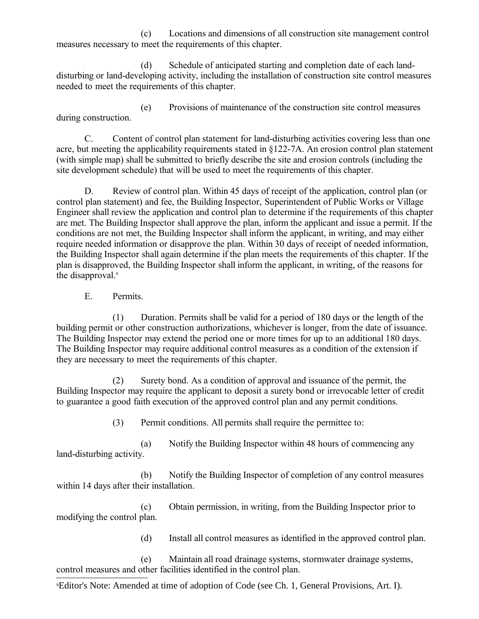(c) Locations and dimensions of all construction site management control measures necessary to meet the requirements of this chapter.

(d) Schedule of anticipated starting and completion date of each landdisturbing or land-developing activity, including the installation of construction site control measures needed to meet the requirements of this chapter.

(e) Provisions of maintenance of the construction site control measures during construction.

C. Content of control plan statement for land-disturbing activities covering less than one acre, but meeting the applicability requirements stated in §122-7A. An erosion control plan statement (with simple map) shall be submitted to briefly describe the site and erosion controls (including the site development schedule) that will be used to meet the requirements of this chapter.

D. Review of control plan. Within 45 days of receipt of the application, control plan (or control plan statement) and fee, the Building Inspector, Superintendent of Public Works or Village Engineer shall review the application and control plan to determine if the requirements of this chapter are met. The Building Inspector shall approve the plan, inform the applicant and issue a permit. If the conditions are not met, the Building Inspector shall inform the applicant, in writing, and may either require needed information or disapprove the plan. Within 30 days of receipt of needed information, the Building Inspector shall again determine if the plan meets the requirements of this chapter. If the plan is disapproved, the Building Inspector shall inform the applicant, in writing, of the reasons for the disapproval.<sup>[9](#page-6-0)</sup>

E. Permits.

(1) Duration. Permits shall be valid for a period of 180 days or the length of the building permit or other construction authorizations, whichever is longer, from the date of issuance. The Building Inspector may extend the period one or more times for up to an additional 180 days. The Building Inspector may require additional control measures as a condition of the extension if they are necessary to meet the requirements of this chapter.

(2) Surety bond. As a condition of approval and issuance of the permit, the Building Inspector may require the applicant to deposit a surety bond or irrevocable letter of credit to guarantee a good faith execution of the approved control plan and any permit conditions.

(3) Permit conditions. All permits shall require the permittee to:

(a) Notify the Building Inspector within 48 hours of commencing any land-disturbing activity.

(b) Notify the Building Inspector of completion of any control measures within 14 days after their installation.

(c) Obtain permission, in writing, from the Building Inspector prior to modifying the control plan.

(d) Install all control measures as identified in the approved control plan.

(e) Maintain all road drainage systems, stormwater drainage systems, control measures and other facilities identified in the control plan.

<span id="page-6-0"></span>9Editor's Note: Amended at time of adoption of Code (see Ch. 1, General Provisions, Art. I).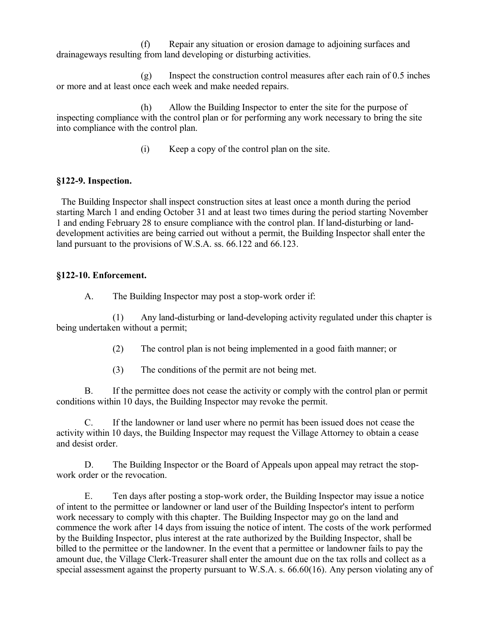(f) Repair any situation or erosion damage to adjoining surfaces and drainageways resulting from land developing or disturbing activities.

(g) Inspect the construction control measures after each rain of 0.5 inches or more and at least once each week and make needed repairs.

(h) Allow the Building Inspector to enter the site for the purpose of inspecting compliance with the control plan or for performing any work necessary to bring the site into compliance with the control plan.

(i) Keep a copy of the control plan on the site.

## **§122-9. Inspection.**

 The Building Inspector shall inspect construction sites at least once a month during the period starting March 1 and ending October 31 and at least two times during the period starting November 1 and ending February 28 to ensure compliance with the control plan. If land-disturbing or landdevelopment activities are being carried out without a permit, the Building Inspector shall enter the land pursuant to the provisions of W.S.A. ss. 66.122 and 66.123.

## **§122-10. Enforcement.**

A. The Building Inspector may post a stop-work order if:

(1) Any land-disturbing or land-developing activity regulated under this chapter is being undertaken without a permit;

- (2) The control plan is not being implemented in a good faith manner; or
- (3) The conditions of the permit are not being met.

B. If the permittee does not cease the activity or comply with the control plan or permit conditions within 10 days, the Building Inspector may revoke the permit.

C. If the landowner or land user where no permit has been issued does not cease the activity within 10 days, the Building Inspector may request the Village Attorney to obtain a cease and desist order.

D. The Building Inspector or the Board of Appeals upon appeal may retract the stopwork order or the revocation.

E. Ten days after posting a stop-work order, the Building Inspector may issue a notice of intent to the permittee or landowner or land user of the Building Inspector's intent to perform work necessary to comply with this chapter. The Building Inspector may go on the land and commence the work after 14 days from issuing the notice of intent. The costs of the work performed by the Building Inspector, plus interest at the rate authorized by the Building Inspector, shall be billed to the permittee or the landowner. In the event that a permittee or landowner fails to pay the amount due, the Village Clerk-Treasurer shall enter the amount due on the tax rolls and collect as a special assessment against the property pursuant to W.S.A. s. 66.60(16). Any person violating any of